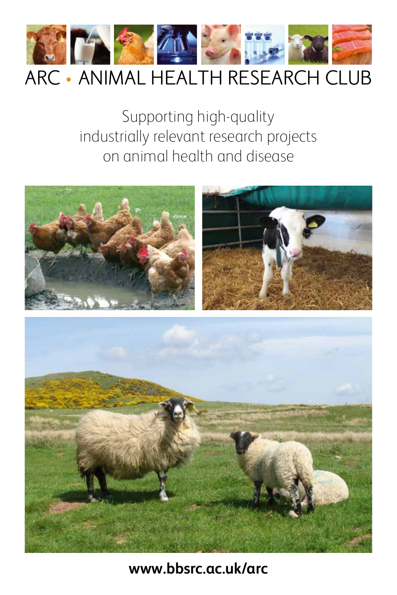

### ARC • ANIMAL HEALTH RESEARCH CLUB

Supporting high-quality industrially relevant research projects on animal health and disease





### **www.bbsrc.ac.uk/arc**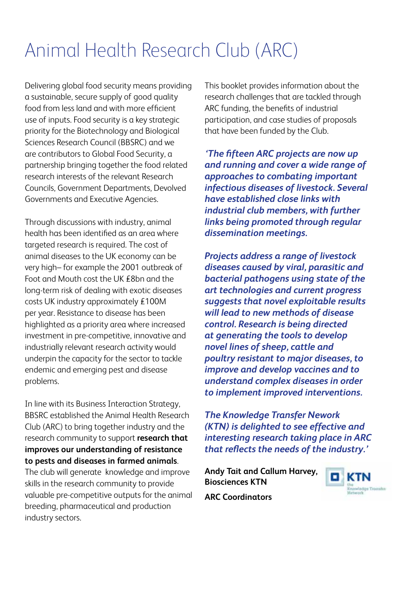## Animal Health Research Club (ARC)

Delivering global food security means providing a sustainable, secure supply of good quality food from less land and with more efficient use of inputs. Food security is a key strategic priority for the Biotechnology and Biological Sciences Research Council (BBSRC) and we are contributors to Global Food Security, a partnership bringing together the food related research interests of the relevant Research Councils, Government Departments, Devolved Governments and Executive Agencies.

Through discussions with industry, animal health has been identified as an area where targeted research is required. The cost of animal diseases to the UK economy can be very high– for example the 2001 outbreak of Foot and Mouth cost the UK £8bn and the long-term risk of dealing with exotic diseases costs UK industry approximately £100M per year. Resistance to disease has been highlighted as a priority area where increased investment in pre-competitive, innovative and industrially relevant research activity would underpin the capacity for the sector to tackle endemic and emerging pest and disease problems.

In line with its Business Interaction Strategy, BBSRC established the Animal Health Research Club (ARC) to bring together industry and the research community to support **research that improves our understanding of resistance to pests and diseases in farmed animals**. The club will generate knowledge and improve skills in the research community to provide valuable pre-competitive outputs for the animal

breeding, pharmaceutical and production industry sectors.

This booklet provides information about the research challenges that are tackled through ARC funding, the benefits of industrial participation, and case studies of proposals that have been funded by the Club.

*'The fifteen ARC projects are now up and running and cover a wide range of approaches to combating important infectious diseases of livestock. Several have established close links with industrial club members, with further links being promoted through regular dissemination meetings.* 

*Projects address a range of livestock diseases caused by viral, parasitic and bacterial pathogens using state of the art technologies and current progress suggests that novel exploitable results will lead to new methods of disease control. Research is being directed at generating the tools to develop novel lines of sheep, cattle and poultry resistant to major diseases, to improve and develop vaccines and to understand complex diseases in order to implement improved interventions.* 

*The Knowledge Transfer Nework (KTN) is delighted to see effective and interesting research taking place in ARC that reflects the needs of the industry.'*

**Andy Tait and Callum Harvey, Biosciences KTN**



**ARC Coordinators**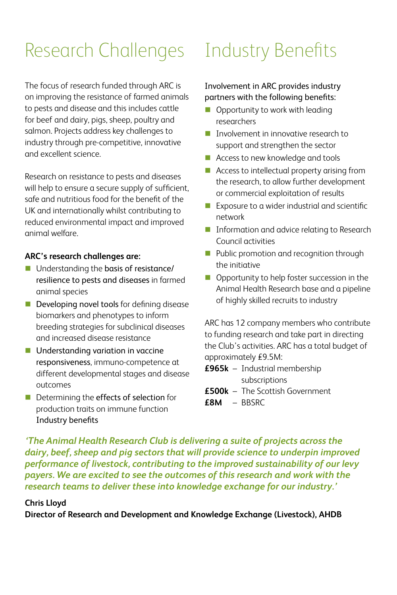# Research Challenges Industry Benefits

The focus of research funded through ARC is on improving the resistance of farmed animals to pests and disease and this includes cattle for beef and dairy, pigs, sheep, poultry and salmon. Projects address key challenges to industry through pre-competitive, innovative and excellent science.

Research on resistance to pests and diseases will help to ensure a secure supply of sufficient, safe and nutritious food for the benefit of the UK and internationally whilst contributing to reduced environmental impact and improved animal welfare.

#### **ARC's research challenges are:**

- Understanding the basis of resistance/ resilience to pests and diseases in farmed animal species
- Developing novel tools for defining disease biomarkers and phenotypes to inform breeding strategies for subclinical diseases and increased disease resistance
- **Understanding variation in vaccine** responsiveness, immuno-competence at different developmental stages and disease outcomes
- Determining the effects of selection for production traits on immune function Industry benefits

#### Involvement in ARC provides industry partners with the following benefits:

- **Opportunity to work with leading** researchers
- Involvement in innovative research to support and strengthen the sector
- Access to new knowledge and tools
- Access to intellectual property arising from the research, to allow further development or commercial exploitation of results
- Exposure to a wider industrial and scientific network
- **Information and advice relating to Research** Council activities
- **Public promotion and recognition through** the initiative
- Opportunity to help foster succession in the Animal Health Research base and a pipeline of highly skilled recruits to industry

ARC has 12 company members who contribute to funding research and take part in directing the Club's activities. ARC has a total budget of approximately £9.5M:

- **£965k** Industrial membership subscriptions
- **£500k** The Scottish Government
- **£8M** BBSRC

*'The Animal Health Research Club is delivering a suite of projects across the dairy, beef, sheep and pig sectors that will provide science to underpin improved performance of livestock, contributing to the improved sustainability of our levy payers. We are excited to see the outcomes of this research and work with the research teams to deliver these into knowledge exchange for our industry.'*

#### **Chris Lloyd**

**Director of Research and Development and Knowledge Exchange (Livestock), AHDB**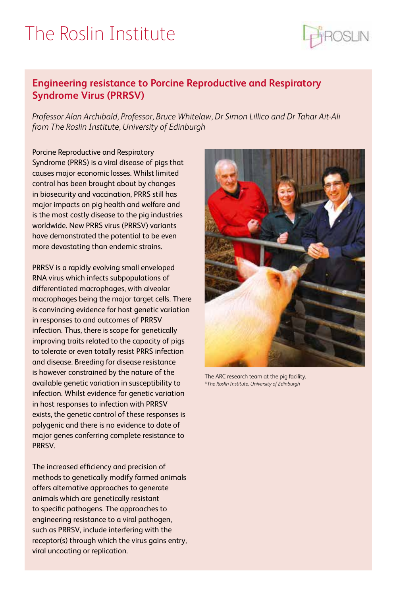### The Roslin Institute



#### **Engineering resistance to Porcine Reproductive and Respiratory Syndrome Virus (PRRSV)**

*Professor Alan Archibald, Professor, Bruce Whitelaw, Dr Simon Lillico and Dr Tahar Ait-Ali from The Roslin Institute, University of Edinburgh*

Porcine Reproductive and Respiratory Syndrome (PRRS) is a viral disease of pigs that causes major economic losses. Whilst limited control has been brought about by changes in biosecurity and vaccination, PRRS still has major impacts on pig health and welfare and is the most costly disease to the pig industries worldwide. New PRRS virus (PRRSV) variants have demonstrated the potential to be even more devastating than endemic strains.

PRRSV is a rapidly evolving small enveloped RNA virus which infects subpopulations of differentiated macrophages, with alveolar macrophages being the major target cells. There is convincing evidence for host genetic variation in responses to and outcomes of PRRSV infection. Thus, there is scope for genetically improving traits related to the capacity of pigs to tolerate or even totally resist PRRS infection and disease. Breeding for disease resistance is however constrained by the nature of the available genetic variation in susceptibility to infection. Whilst evidence for genetic variation in host responses to infection with PRRSV exists, the genetic control of these responses is polygenic and there is no evidence to date of major genes conferring complete resistance to PRRSV.

The increased efficiency and precision of methods to genetically modify farmed animals offers alternative approaches to generate animals which are genetically resistant to specific pathogens. The approaches to engineering resistance to a viral pathogen, such as PRRSV, include interfering with the receptor(s) through which the virus gains entry, viral uncoating or replication.



The ARC research team at the pig facility. ©*The Roslin Institute, University of Edinburgh*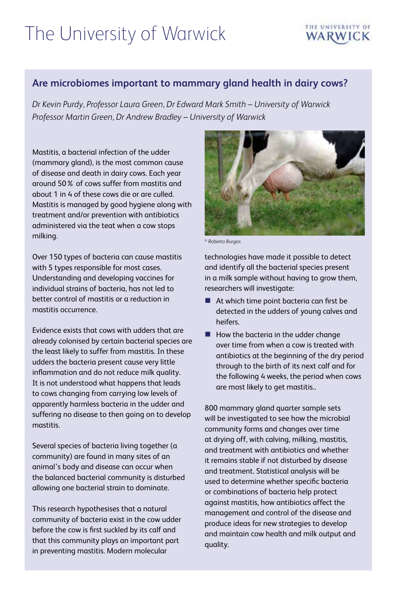## The University of Warwick

### THE UNIVERSITY OF

#### **Are microbiomes important to mammary gland health in dairy cows?**

*Dr Kevin Purdy, Professor Laura Green, Dr Edward Mark Smith – University of Warwick Professor Martin Green, Dr Andrew Bradley – University of Warwick*

Mastitis, a bacterial infection of the udder (mammary gland), is the most common cause of disease and death in dairy cows. Each year around 50% of cows suffer from mastitis and about 1 in 4 of these cows die or are culled. Mastitis is managed by good hygiene along with treatment and/or prevention with antibiotics administered via the teat when a cow stops milking.

Over 150 types of bacteria can cause mastitis with 5 types responsible for most cases. Understanding and developing vaccines for individual strains of bacteria, has not led to better control of mastitis or a reduction in mastitis occurrence.

Evidence exists that cows with udders that are already colonised by certain bacterial species are the least likely to suffer from mastitis. In these udders the bacteria present cause very little inflammation and do not reduce milk quality. It is not understood what happens that leads to cows changing from carrying low levels of apparently harmless bacteria in the udder and suffering no disease to then going on to develop mastitis.

Several species of bacteria living together (a community) are found in many sites of an animal's body and disease can occur when the balanced bacterial community is disturbed allowing one bacterial strain to dominate.

This research hypothesises that a natural community of bacteria exist in the cow udder before the cow is first suckled by its calf and that this community plays an important part in preventing mastitis. Modern molecular



© *Roberto Burgos* 

technologies have made it possible to detect and identify all the bacterial species present in a milk sample without having to grow them, researchers will investigate:

- At which time point bacteria can first be detected in the udders of young calves and heifers.
- $\blacksquare$  How the bacteria in the udder change over time from when a cow is treated with antibiotics at the beginning of the dry period through to the birth of its next calf and for the following 4 weeks, the period when cows are most likely to get mastitis..

800 mammary gland quarter sample sets will be investigated to see how the microbial community forms and changes over time at drying off, with calving, milking, mastitis, and treatment with antibiotics and whether it remains stable if not disturbed by disease and treatment. Statistical analysis will be used to determine whether specific bacteria or combinations of bacteria help protect against mastitis, how antibiotics affect the management and control of the disease and produce ideas for new strategies to develop and maintain cow health and milk output and quality.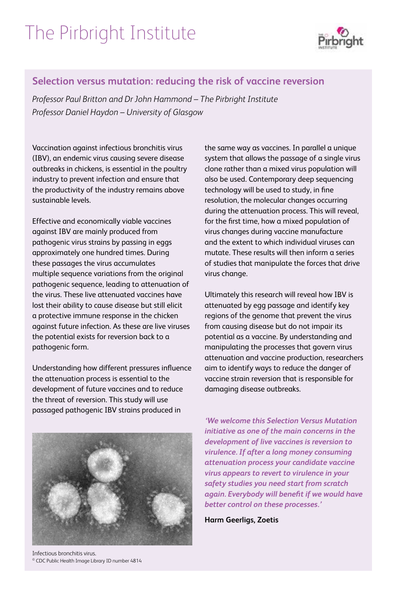## The Pirbright Institute



#### **Selection versus mutation: reducing the risk of vaccine reversion**

*Professor Paul Britton and Dr John Hammond – The Pirbright Institute Professor Daniel Haydon – University of Glasgow* 

Vaccination against infectious bronchitis virus (IBV), an endemic virus causing severe disease outbreaks in chickens, is essential in the poultry industry to prevent infection and ensure that the productivity of the industry remains above sustainable levels.

Effective and economically viable vaccines against IBV are mainly produced from pathogenic virus strains by passing in eggs approximately one hundred times. During these passages the virus accumulates multiple sequence variations from the original pathogenic sequence, leading to attenuation of the virus. These live attenuated vaccines have lost their ability to cause disease but still elicit a protective immune response in the chicken against future infection. As these are live viruses the potential exists for reversion back to a pathogenic form.

Understanding how different pressures influence the attenuation process is essential to the development of future vaccines and to reduce the threat of reversion. This study will use passaged pathogenic IBV strains produced in

Infectious bronchitis virus. © CDC Public Health Image Library ID number 4814

the same way as vaccines. In parallel a unique system that allows the passage of a single virus clone rather than a mixed virus population will also be used. Contemporary deep sequencing technology will be used to study, in fine resolution, the molecular changes occurring during the attenuation process. This will reveal, for the first time, how a mixed population of virus changes during vaccine manufacture and the extent to which individual viruses can mutate. These results will then inform a series of studies that manipulate the forces that drive virus change.

Ultimately this research will reveal how IBV is attenuated by egg passage and identify key regions of the genome that prevent the virus from causing disease but do not impair its potential as a vaccine. By understanding and manipulating the processes that govern virus attenuation and vaccine production, researchers aim to identify ways to reduce the danger of vaccine strain reversion that is responsible for damaging disease outbreaks.

*'We welcome this Selection Versus Mutation initiative as one of the main concerns in the development of live vaccines is reversion to virulence. If after a long money consuming attenuation process your candidate vaccine virus appears to revert to virulence in your safety studies you need start from scratch again. Everybody will benefit if we would have better control on these processes.'*

**Harm Geerligs, Zoetis**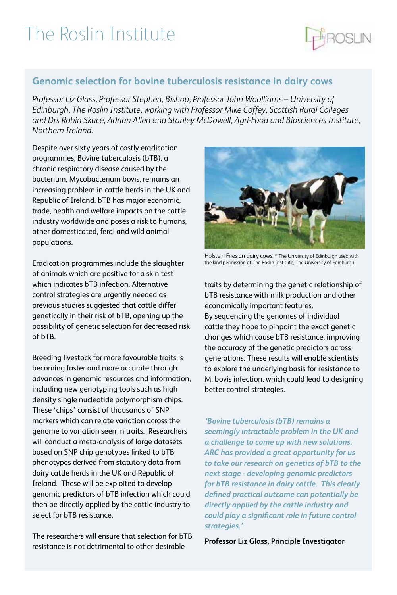### The Roslin Institute



*Professor Liz Glass, Professor Stephen, Bishop, Professor John Woolliams – University of Edinburgh, The Roslin Institute, working with Professor Mike Coffey, Scottish Rural Colleges and Drs Robin Skuce, Adrian Allen and Stanley McDowell, Agri-Food and Biosciences Institute, Northern Ireland.* 

Despite over sixty years of costly eradication programmes, Bovine tuberculosis (bTB), a chronic respiratory disease caused by the bacterium, Mycobacterium bovis, remains an increasing problem in cattle herds in the UK and Republic of Ireland. bTB has major economic, trade, health and welfare impacts on the cattle industry worldwide and poses a risk to humans, other domesticated, feral and wild animal populations.

Eradication programmes include the slaughter of animals which are positive for a skin test which indicates bTB infection. Alternative control strategies are urgently needed as previous studies suggested that cattle differ genetically in their risk of bTB, opening up the possibility of genetic selection for decreased risk of bTB.

Breeding livestock for more favourable traits is becoming faster and more accurate through advances in genomic resources and information, including new genotyping tools such as high density single nucleotide polymorphism chips. These 'chips' consist of thousands of SNP markers which can relate variation across the genome to variation seen in traits. Researchers will conduct a meta-analysis of large datasets based on SNP chip genotypes linked to bTB phenotypes derived from statutory data from dairy cattle herds in the UK and Republic of Ireland. These will be exploited to develop genomic predictors of bTB infection which could then be directly applied by the cattle industry to select for bTB resistance.

The researchers will ensure that selection for bTB resistance is not detrimental to other desirable



Holstein Friesian dairy cows. © The University of Edinburgh used with the kind permission of The Roslin Institute, The University of Edinburgh.

traits by determining the genetic relationship of bTB resistance with milk production and other economically important features. By sequencing the genomes of individual cattle they hope to pinpoint the exact genetic changes which cause bTB resistance, improving the accuracy of the genetic predictors across generations. These results will enable scientists to explore the underlying basis for resistance to M. bovis infection, which could lead to designing better control strategies.

*'Bovine tuberculosis (bTB) remains a seemingly intractable problem in the UK and a challenge to come up with new solutions. ARC has provided a great opportunity for us to take our research on genetics of bTB to the next stage - developing genomic predictors for bTB resistance in dairy cattle. This clearly defined practical outcome can potentially be directly applied by the cattle industry and could play a significant role in future control strategies.'* 

**Professor Liz Glass, Principle Investigator** 

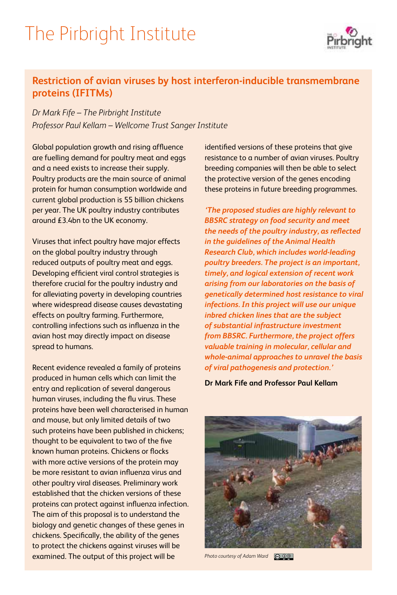### The Pirbright Institute



### **Restriction of avian viruses by host interferon-inducible transmembrane proteins (IFITMs)**

*Dr Mark Fife – The Pirbright Institute Professor Paul Kellam – Wellcome Trust Sanger Institute*

Global population growth and rising affluence are fuelling demand for poultry meat and eggs and a need exists to increase their supply. Poultry products are the main source of animal protein for human consumption worldwide and current global production is 55 billion chickens per year. The UK poultry industry contributes around £3.4bn to the UK economy.

Viruses that infect poultry have major effects on the global poultry industry through reduced outputs of poultry meat and eggs. Developing efficient viral control strategies is therefore crucial for the poultry industry and for alleviating poverty in developing countries where widespread disease causes devastating effects on poultry farming. Furthermore, controlling infections such as influenza in the avian host may directly impact on disease spread to humans.

Recent evidence revealed a family of proteins produced in human cells which can limit the entry and replication of several dangerous human viruses, including the flu virus. These proteins have been well characterised in human and mouse, but only limited details of two such proteins have been published in chickens; thought to be equivalent to two of the five known human proteins. Chickens or flocks with more active versions of the protein may be more resistant to avian influenza virus and other poultry viral diseases. Preliminary work established that the chicken versions of these proteins can protect against influenza infection. The aim of this proposal is to understand the biology and genetic changes of these genes in chickens. Specifically, the ability of the genes to protect the chickens against viruses will be examined. The output of this project will be

identified versions of these proteins that give resistance to a number of avian viruses. Poultry breeding companies will then be able to select the protective version of the genes encoding these proteins in future breeding programmes.

*'The proposed studies are highly relevant to BBSRC strategy on food security and meet the needs of the poultry industry, as reflected in the guidelines of the Animal Health Research Club, which includes world-leading poultry breeders. The project is an important, timely, and logical extension of recent work arising from our laboratories on the basis of genetically determined host resistance to viral infections. In this project will use our unique inbred chicken lines that are the subject of substantial infrastructure investment from BBSRC. Furthermore, the project offers valuable training in molecular, cellular and whole-animal approaches to unravel the basis of viral pathogenesis and protection.'* 

**Dr Mark Fife and Professor Paul Kellam** 



*Photo courtesy of Adam Ward* $\odot$  00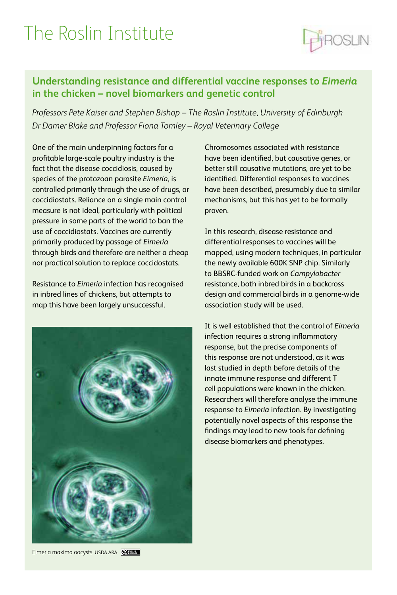### The Roslin Institute

### **Understanding resistance and differential vaccine responses to** *Eimeria* **in the chicken – novel biomarkers and genetic control**

*Professors Pete Kaiser and Stephen Bishop – The Roslin Institute, University of Edinburgh Dr Damer Blake and Professor Fiona Tomley – Royal Veterinary College*

One of the main underpinning factors for a profitable large-scale poultry industry is the fact that the disease coccidiosis, caused by species of the protozoan parasite *Eimeria*, is controlled primarily through the use of drugs, or coccidiostats. Reliance on a single main control measure is not ideal, particularly with political pressure in some parts of the world to ban the use of coccidiostats. Vaccines are currently primarily produced by passage of *Eimeria* through birds and therefore are neither a cheap nor practical solution to replace coccidostats.

Resistance to *Eimeria* infection has recognised in inbred lines of chickens, but attempts to map this have been largely unsuccessful.



Chromosomes associated with resistance have been identified, but causative genes, or better still causative mutations, are yet to be identified. Differential responses to vaccines have been described, presumably due to similar mechanisms, but this has yet to be formally proven.

In this research, disease resistance and differential responses to vaccines will be mapped, using modern techniques, in particular the newly available 600K SNP chip. Similarly to BBSRC-funded work on *Campylobacter*  resistance, both inbred birds in a backcross design and commercial birds in a genome-wide association study will be used.

It is well established that the control of *Eimeria* infection requires a strong inflammatory response, but the precise components of this response are not understood, as it was last studied in depth before details of the innate immune response and different T cell populations were known in the chicken. Researchers will therefore analyse the immune response to *Eimeria* infection. By investigating potentially novel aspects of this response the findings may lead to new tools for defining disease biomarkers and phenotypes.

Eimeria maxima oocysts. USDA ARA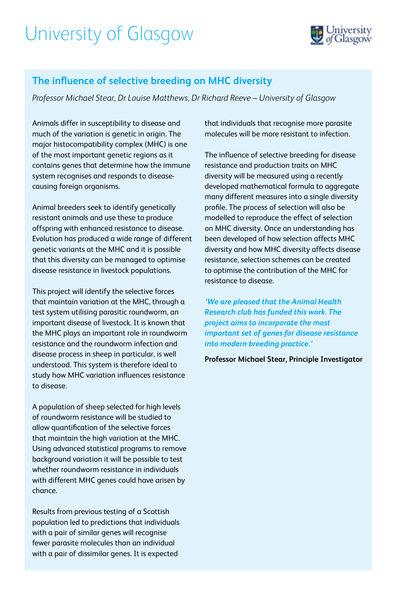### University of Glasgow



#### **The influence of selective breeding on MHC diversity**

*Professor Michael Stear, Dr Louise Matthews, Dr Richard Reeve – University of Glasgow*

Animals differ in susceptibility to disease and much of the variation is genetic in origin. The major histocompatibility complex (MHC) is one of the most important genetic regions as it contains genes that determine how the immune system recognises and responds to diseasecausing foreign organisms.

Animal breeders seek to identify genetically resistant animals and use these to produce offspring with enhanced resistance to disease. Evolution has produced a wide range of different genetic variants at the MHC and it is possible that this diversity can be managed to optimise disease resistance in livestock populations.

This project will identify the selective forces that maintain variation at the MHC, through a test system utilising parasitic roundworm, an important disease of livestock. It is known that the MHC plays an important role in roundworm resistance and the roundworm infection and disease process in sheep in particular, is well understood. This system is therefore ideal to study how MHC variation influences resistance to disease.

A population of sheep selected for high levels of roundworm resistance will be studied to allow quantification of the selective forces that maintain the high variation at the MHC. Using advanced statistical programs to remove background variation it will be possible to test whether roundworm resistance in individuals with different MHC genes could have arisen by chance.

Results from previous testing of a Scottish population led to predictions that individuals with a pair of similar genes will recognise fewer parasite molecules than an individual with a pair of dissimilar genes. It is expected

that individuals that recognise more parasite molecules will be more resistant to infection.

The influence of selective breeding for disease resistance and production traits on MHC diversity will be measured using a recently developed mathematical formula to aggregate many different measures into a single diversity profile. The process of selection will also be modelled to reproduce the effect of selection on MHC diversity. Once an understanding has been developed of how selection affects MHC diversity and how MHC diversity affects disease resistance, selection schemes can be created to optimise the contribution of the MHC for resistance to disease.

*'We are pleased that the Animal Health Research club has funded this work. The project aims to incorporate the most important set of genes for disease resistance into modern breeding practice.'* 

**Professor Michael Stear, Principle Investigator**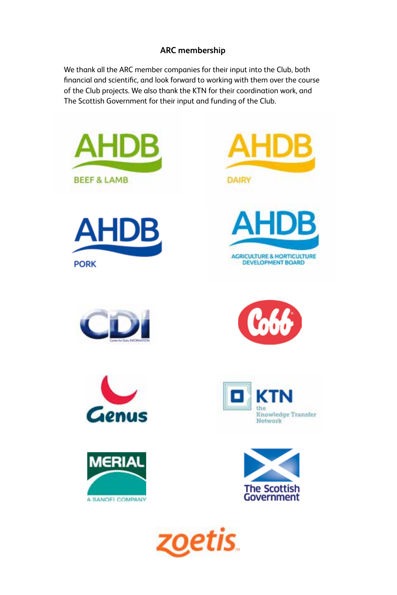#### **ARC membership**

We thank all the ARC member companies for their input into the Club, both financial and scientific, and look forward to working with them over the course of the Club projects. We also thank the KTN for their coordination work, and The Scottish Government for their input and funding of the Club.











DEVELOPMENT BOARD

**HDB** 

Д